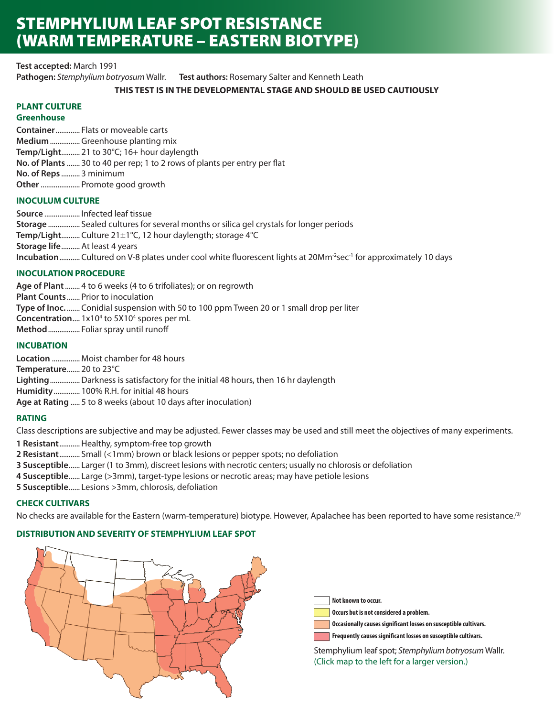# STEMPHYLIUM LEAF SPOT RESISTANCE (WARM TEMPERATURE – EASTERN BIOTYPE)

**Test accepted:** March 1991 **Pathogen:** *Stemphylium botryosum* Wallr. **Test authors:** Rosemary Salter and Kenneth Leath

# **THIS TEST IS IN THE DEVELOPMENTAL STAGE AND SHOULD BE USED CAUTIOUSLY**

# **PLANT CULTURE**

**Greenhouse**

**Container**............. Flats or moveable carts **Medium**................ Greenhouse planting mix **Temp/Light**.......... 21 to 30°C; 16+ hour daylength **No. of Plants** ....... 30 to 40 per rep; 1 to 2 rows of plants per entry per flat **No. of Reps** .......... 3 minimum **Other**..................... Promote good growth

# **INOCULUM CULTURE**

**Source** ................... Infected leaf tissue **Storage** ................. Sealed cultures for several months or silica gel crystals for longer periods **Temp/Light**.......... Culture 21±1°C, 12 hour daylength; storage 4°C **Storage life**.......... At least 4 years **Incubation**........... Cultured on V-8 plates under cool white fluorescent lights at 20Mm<sup>-2</sup>sec<sup>-1</sup> for approximately 10 days

# **INOCULATION PROCEDURE**

**Age of Plant** ........ 4 to 6 weeks (4 to 6 trifoliates); or on regrowth **Plant Counts** ....... Prior to inoculation **Type of Inoc.** ....... Conidial suspension with 50 to 100 ppm Tween 20 or 1 small drop per liter **Concentration....** 1x10<sup>4</sup> to 5X10<sup>4</sup> spores per mL **Method** ................. Foliar spray until runoff

# **INCUBATION**

**Location** ............... Moist chamber for 48 hours **Temperature**....... 20 to 23°C **Lighting**................Darkness is satisfactory for the initial 48 hours, then 16 hr daylength **Humidity**.............. 100% R.H. for initial 48 hours **Age at Rating** ..... 5 to 8 weeks (about 10 days after inoculation)

# **RATING**

Class descriptions are subjective and may be adjusted. Fewer classes may be used and still meet the objectives of many experiments.

**1 Resistant**...........Healthy, symptom-free top growth

- **2 Resistant**........... Small (<1mm) brown or black lesions or pepper spots; no defoliation
- **3 Susceptible**...... Larger (1 to 3mm), discreet lesions with necrotic centers; usually no chlorosis or defoliation
- **4 Susceptible**...... Large (>3mm), target-type lesions or necrotic areas; may have petiole lesions
- **5 Susceptible**...... Lesions >3mm, chlorosis, defoliation

# **CHECK CULTIVARS**

No checks are available for the Eastern (warm-temperature) biotype. However, Apalachee has been reported to have some resistance.*(3)*

# **DISTRIBUTION AND SEVERITY OF STEMPHYLIUM LEAF SPOT**



**Not known to occur.**

**Occurs but is not considered a problem.**

**Occasionally causes significant losses on susceptible cultivars.**

**Frequently causes significant losses on susceptible cultivars.**

Stemphylium leaf spot; *Stemphylium botryosum* Wallr. (Click map to the left for a larger version.)